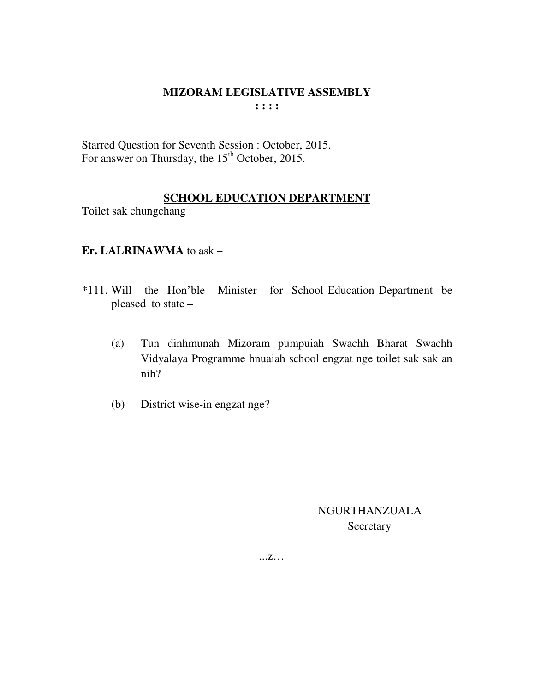Starred Question for Seventh Session : October, 2015. For answer on Thursday, the 15<sup>th</sup> October, 2015.

# **SCHOOL EDUCATION DEPARTMENT**

Toilet sak chungchang

# **Er. LALRINAWMA** to ask –

- \*111. Will the Hon'ble Minister for School Education Department be pleased to state –
	- (a) Tun dinhmunah Mizoram pumpuiah Swachh Bharat Swachh Vidyalaya Programme hnuaiah school engzat nge toilet sak sak an nih?
	- (b) District wise-in engzat nge?

 NGURTHANZUALA **Secretary**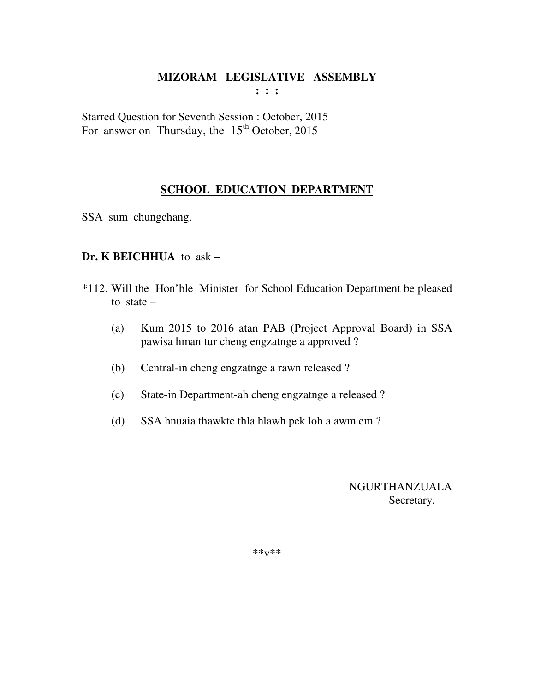**: : :** 

Starred Question for Seventh Session : October, 2015 For answer on Thursday, the  $15<sup>th</sup>$  October, 2015

# **SCHOOL EDUCATION DEPARTMENT**

SSA sum chungchang.

# **Dr. K BEICHHUA** to ask –

- \*112. Will the Hon'ble Minister for School Education Department be pleased to state  $-$ 
	- (a) Kum 2015 to 2016 atan PAB (Project Approval Board) in SSA pawisa hman tur cheng engzatnge a approved ?
	- (b) Central-in cheng engzatnge a rawn released ?
	- (c) State-in Department-ah cheng engzatnge a released ?
	- (d) SSA hnuaia thawkte thla hlawh pek loh a awm em ?

 NGURTHANZUALA Secretary.

\*\*v\*\*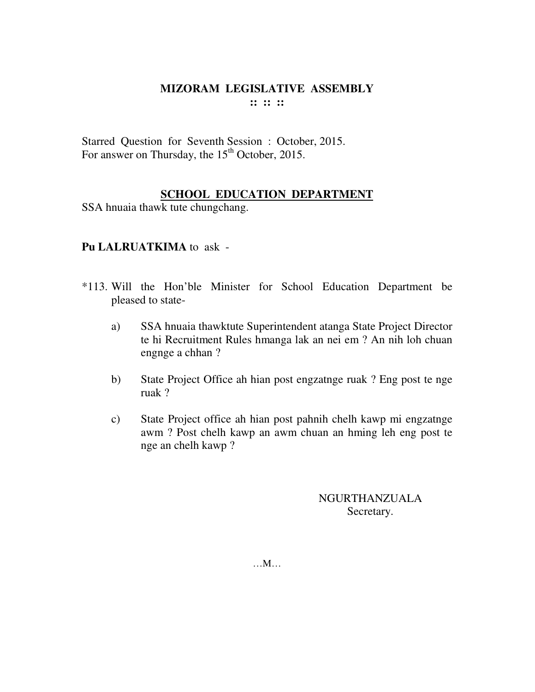Starred Question for Seventh Session : October, 2015. For answer on Thursday, the  $15<sup>th</sup>$  October, 2015.

# **SCHOOL EDUCATION DEPARTMENT**

SSA hnuaia thawk tute chungchang.

# **Pu LALRUATKIMA** to ask -

- \*113. Will the Hon'ble Minister for School Education Department be pleased to state
	- a) SSA hnuaia thawktute Superintendent atanga State Project Director te hi Recruitment Rules hmanga lak an nei em ? An nih loh chuan engnge a chhan ?
	- b) State Project Office ah hian post engzatnge ruak ? Eng post te nge ruak ?
	- c) State Project office ah hian post pahnih chelh kawp mi engzatnge awm ? Post chelh kawp an awm chuan an hming leh eng post te nge an chelh kawp ?

NGURTHANZUALA Secretary.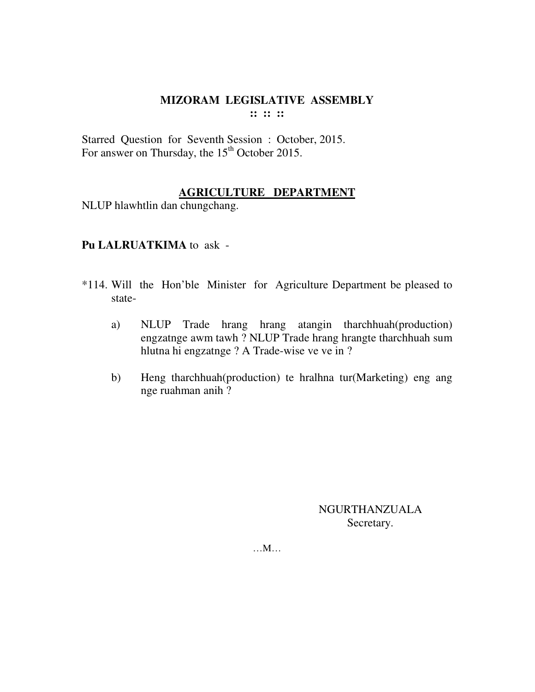**:: :: ::** 

Starred Question for Seventh Session : October, 2015. For answer on Thursday, the 15<sup>th</sup> October 2015.

## **AGRICULTURE DEPARTMENT**

NLUP hlawhtlin dan chungchang.

# **Pu LALRUATKIMA** to ask -

- \*114. Will the Hon'ble Minister for Agriculture Department be pleased to state
	- a) NLUP Trade hrang hrang atangin tharchhuah(production) engzatnge awm tawh ? NLUP Trade hrang hrangte tharchhuah sum hlutna hi engzatnge ? A Trade-wise ve ve in ?
	- b) Heng tharchhuah(production) te hralhna tur(Marketing) eng ang nge ruahman anih ?

NGURTHANZUALA Secretary.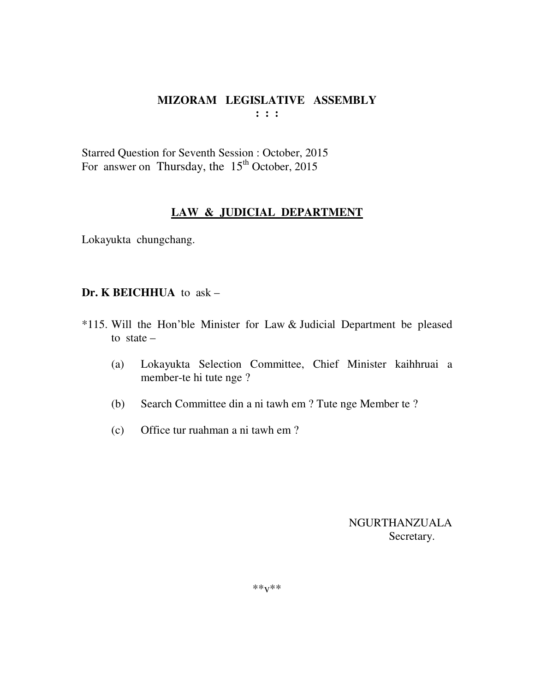Starred Question for Seventh Session : October, 2015 For answer on Thursday, the  $15<sup>th</sup>$  October, 2015

# **LAW & JUDICIAL DEPARTMENT**

Lokayukta chungchang.

#### **Dr. K BEICHHUA** to ask – Ĩ

- \*115. Will the Hon'ble Minister for Law & Judicial Department be pleased to state  $-$ 
	- (a) Lokayukta Selection Committee, Chief Minister kaihhruai a member-te hi tute nge ?
	- (b) Search Committee din a ni tawh em ? Tute nge Member te ?
	- (c) Office tur ruahman a ni tawh em ?

 NGURTHANZUALA Secretary.

\*\*v\*\*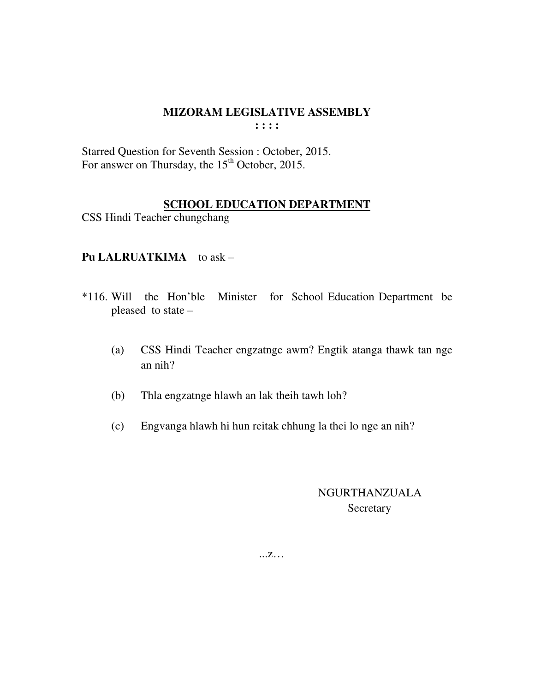**: : : :** 

Starred Question for Seventh Session : October, 2015. For answer on Thursday, the  $15<sup>th</sup>$  October, 2015.

## **SCHOOL EDUCATION DEPARTMENT**

CSS Hindi Teacher chungchang

# Pu LALRUATKIMA to ask –

- \*116. Will the Hon'ble Minister for School Education Department be pleased to state –
	- (a) CSS Hindi Teacher engzatnge awm? Engtik atanga thawk tan nge an nih?
	- (b) Thla engzatnge hlawh an lak theih tawh loh?
	- (c) Engvanga hlawh hi hun reitak chhung la thei lo nge an nih?

 NGURTHANZUALA Secretary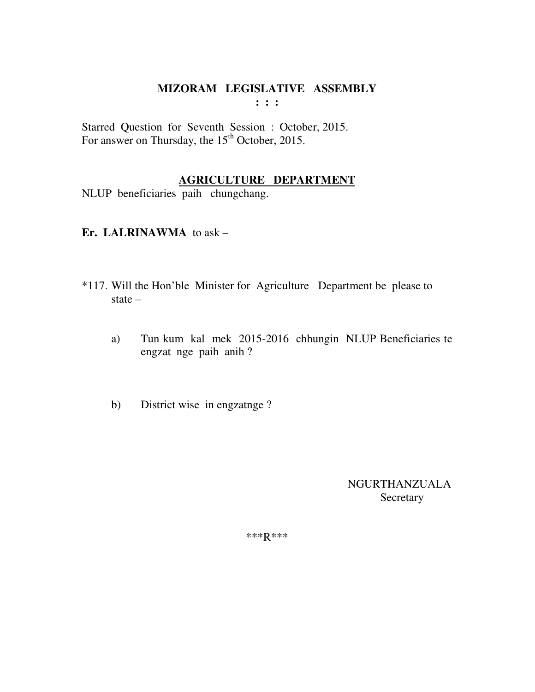**: : :** 

Starred Question for Seventh Session : October, 2015. For answer on Thursday, the 15<sup>th</sup> October, 2015.

# **AGRICULTURE DEPARTMENT**

NLUP beneficiaries paih chungchang.

### **Er. LALRINAWMA** to ask –

- \*117. Will the Hon'ble Minister for Agriculture Department be please to state –
	- a) Tun kum kal mek 2015-2016 chhungin NLUP Beneficiaries te engzat nge paih anih ?
	- b) District wise in engzatnge ?

 NGURTHANZUALA Secretary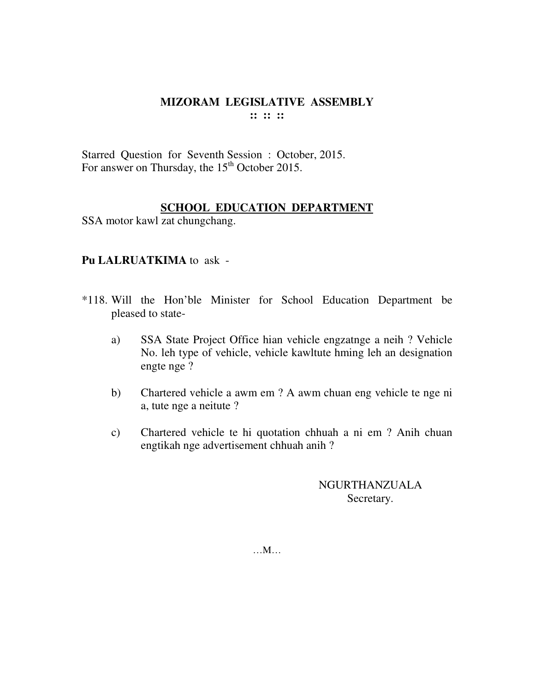Starred Question for Seventh Session : October, 2015. For answer on Thursday, the 15<sup>th</sup> October 2015.

# **SCHOOL EDUCATION DEPARTMENT**

SSA motor kawl zat chungchang.

## **Pu LALRUATKIMA** to ask -

- \*118. Will the Hon'ble Minister for School Education Department be pleased to state
	- a) SSA State Project Office hian vehicle engzatnge a neih ? Vehicle No. leh type of vehicle, vehicle kawltute hming leh an designation engte nge ?
	- b) Chartered vehicle a awm em ? A awm chuan eng vehicle te nge ni a, tute nge a neitute ?
	- c) Chartered vehicle te hi quotation chhuah a ni em ? Anih chuan engtikah nge advertisement chhuah anih ?

NGURTHANZUALA Secretary.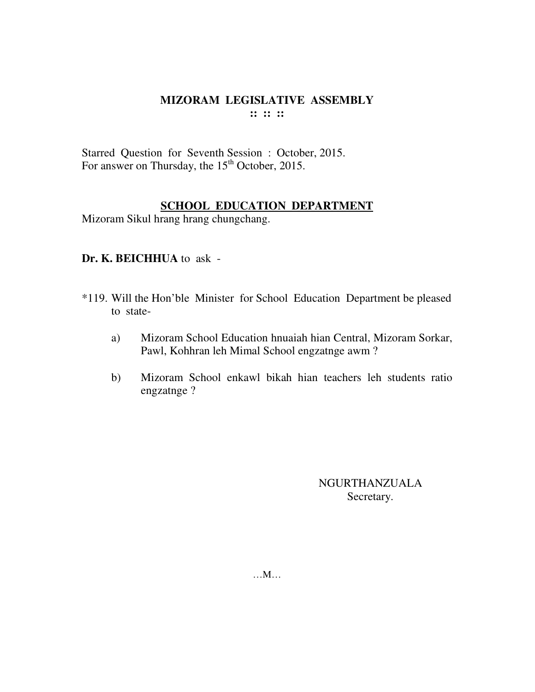Starred Question for Seventh Session : October, 2015. For answer on Thursday, the 15<sup>th</sup> October, 2015.

## **SCHOOL EDUCATION DEPARTMENT**

Mizoram Sikul hrang hrang chungchang.

# **Dr. K. BEICHHUA** to ask -

- \*119. Will the Hon'ble Minister for School Education Department be pleased to state
	- a) Mizoram School Education hnuaiah hian Central, Mizoram Sorkar, Pawl, Kohhran leh Mimal School engzatnge awm ?
	- b) Mizoram School enkawl bikah hian teachers leh students ratio engzatnge ?

NGURTHANZUALA Secretary.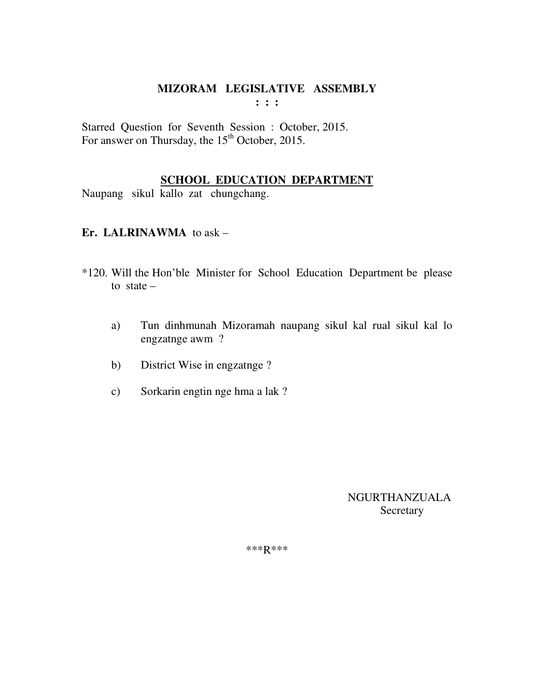**: : :** 

Starred Question for Seventh Session : October, 2015. For answer on Thursday, the 15<sup>th</sup> October, 2015.

# **SCHOOL EDUCATION DEPARTMENT**

Naupang sikul kallo zat chungchang.

# **Er. LALRINAWMA** to ask –

- \*120. Will the Hon'ble Minister for School Education Department be please to state  $$ 
	- a) Tun dinhmunah Mizoramah naupang sikul kal rual sikul kal lo engzatnge awm ?
	- b) District Wise in engzatnge ?
	- c) Sorkarin engtin nge hma a lak ?

 NGURTHANZUALA Secretary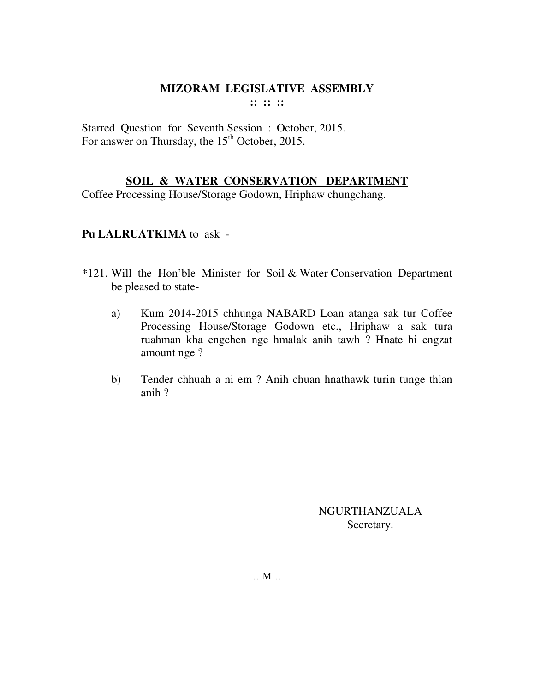Starred Question for Seventh Session : October, 2015. For answer on Thursday, the  $15<sup>th</sup>$  October, 2015.

# **SOIL & WATER CONSERVATION DEPARTMENT**

Coffee Processing House/Storage Godown, Hriphaw chungchang.

#### **Pu LALRUATKIMA** to ask -

- \*121. Will the Hon'ble Minister for Soil & Water Conservation Department be pleased to state
	- a) Kum 2014-2015 chhunga NABARD Loan atanga sak tur Coffee Processing House/Storage Godown etc., Hriphaw a sak tura ruahman kha engchen nge hmalak anih tawh ? Hnate hi engzat amount nge ?
	- b) Tender chhuah a ni em ? Anih chuan hnathawk turin tunge thlan anih ?

NGURTHANZUALA Secretary.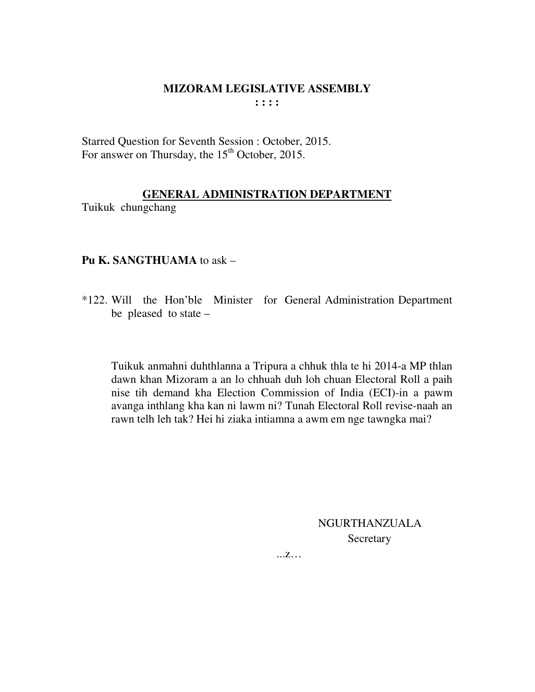Starred Question for Seventh Session : October, 2015. For answer on Thursday, the 15<sup>th</sup> October, 2015.

# **GENERAL ADMINISTRATION DEPARTMENT**

Tuikuk chungchang

# **Pu K. SANGTHUAMA** to ask –

\*122. Will the Hon'ble Minister for General Administration Department be pleased to state –

 Tuikuk anmahni duhthlanna a Tripura a chhuk thla te hi 2014-a MP thlan dawn khan Mizoram a an lo chhuah duh loh chuan Electoral Roll a paih nise tih demand kha Election Commission of India (ECI)-in a pawm avanga inthlang kha kan ni lawm ni? Tunah Electoral Roll revise-naah an rawn telh leh tak? Hei hi ziaka intiamna a awm em nge tawngka mai?

> NGURTHANZUALA **Secretary**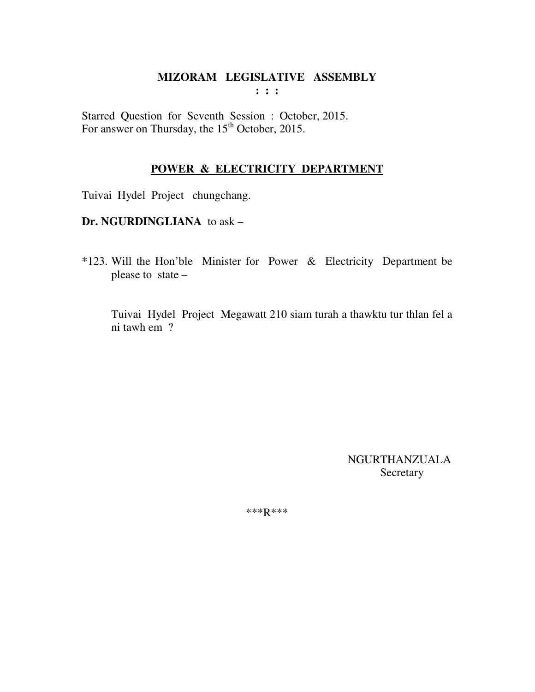Starred Question for Seventh Session : October, 2015. For answer on Thursday, the 15<sup>th</sup> October, 2015.

# **POWER & ELECTRICITY DEPARTMENT**

Tuivai Hydel Project chungchang.

**Dr. NGURDINGLIANA** to ask –

\*123. Will the Hon'ble Minister for Power & Electricity Department be please to state –

Tuivai Hydel Project Megawatt 210 siam turah a thawktu tur thlan fel a ni tawh em ?

> NGURTHANZUALA Secretary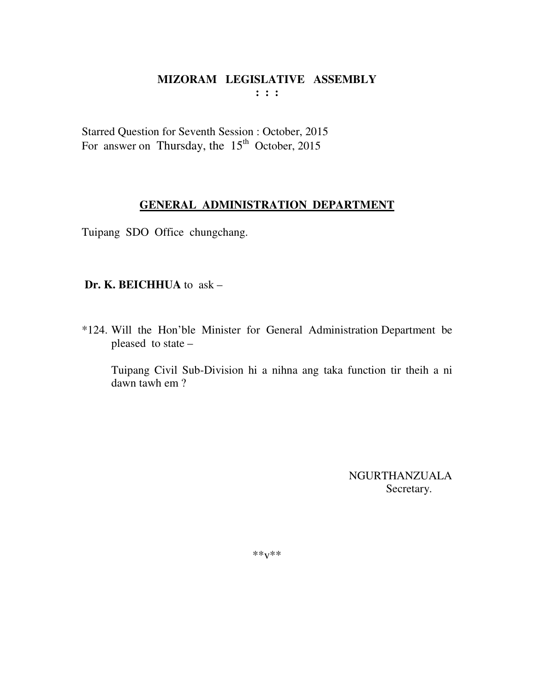Starred Question for Seventh Session : October, 2015 For answer on Thursday, the  $15<sup>th</sup>$  October, 2015

## **GENERAL ADMINISTRATION DEPARTMENT**

Tuipang SDO Office chungchang.

## **Dr. K. BEICHHUA** to ask –

\*124. Will the Hon'ble Minister for General Administration Department be pleased to state –

 Tuipang Civil Sub-Division hi a nihna ang taka function tir theih a ni dawn tawh em ?

> NGURTHANZUALA Secretary.

 $***v***$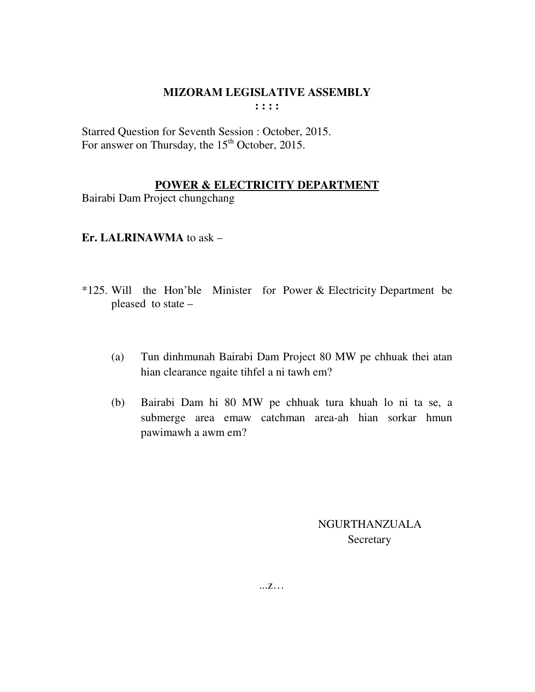Starred Question for Seventh Session : October, 2015. For answer on Thursday, the  $15<sup>th</sup>$  October, 2015.

## **POWER & ELECTRICITY DEPARTMENT**

Bairabi Dam Project chungchang

**Er. LALRINAWMA** to ask –

- \*125. Will the Hon'ble Minister for Power & Electricity Department be pleased to state –
	- (a) Tun dinhmunah Bairabi Dam Project 80 MW pe chhuak thei atan hian clearance ngaite tihfel a ni tawh em?
	- (b) Bairabi Dam hi 80 MW pe chhuak tura khuah lo ni ta se, a submerge area emaw catchman area-ah hian sorkar hmun pawimawh a awm em?

 NGURTHANZUALA **Secretary**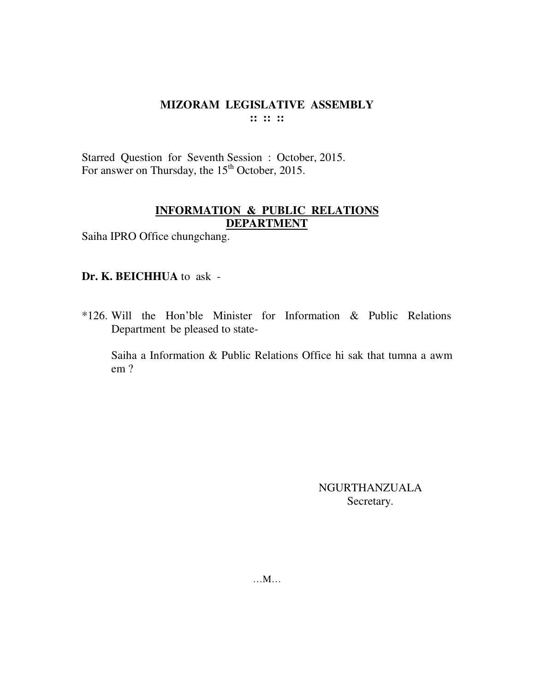Starred Question for Seventh Session : October, 2015. For answer on Thursday, the 15<sup>th</sup> October, 2015.

# **INFORMATION & PUBLIC RELATIONS DEPARTMENT**

Saiha IPRO Office chungchang.

# **Dr. K. BEICHHUA** to ask -

\*126. Will the Hon'ble Minister for Information & Public Relations Department be pleased to state-

 Saiha a Information & Public Relations Office hi sak that tumna a awm em ?

> NGURTHANZUALA Secretary.